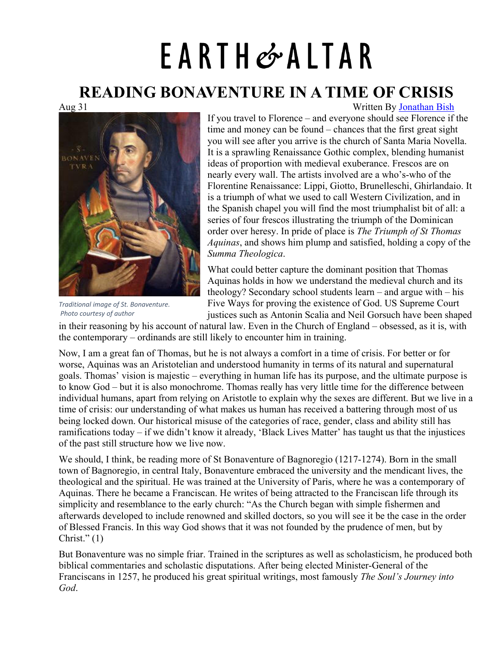## EARTH&ALTAR

## **READING BONAVENTURE IN A TIME OF CRISIS**



*Traditional image of St. Bonaventure. Photo courtesy of author*

Aug 31 Written By [Jonathan Bish](https://earthandaltarmag.com/posts?author=5f4c37ffef0ed71a0981a6aa)

If you travel to Florence – and everyone should see Florence if the time and money can be found – chances that the first great sight you will see after you arrive is the church of Santa Maria Novella. It is a sprawling Renaissance Gothic complex, blending humanist ideas of proportion with medieval exuberance. Frescos are on nearly every wall. The artists involved are a who's-who of the Florentine Renaissance: Lippi, Giotto, Brunelleschi, Ghirlandaio. It is a triumph of what we used to call Western Civilization, and in the Spanish chapel you will find the most triumphalist bit of all: a series of four frescos illustrating the triumph of the Dominican order over heresy. In pride of place is *The Triumph of St Thomas Aquinas*, and shows him plump and satisfied, holding a copy of the *Summa Theologica*.

What could better capture the dominant position that Thomas Aquinas holds in how we understand the medieval church and its theology? Secondary school students learn – and argue with – his Five Ways for proving the existence of God. US Supreme Court justices such as Antonin Scalia and Neil Gorsuch have been shaped

in their reasoning by his account of natural law. Even in the Church of England – obsessed, as it is, with the contemporary – ordinands are still likely to encounter him in training.

Now, I am a great fan of Thomas, but he is not always a comfort in a time of crisis. For better or for worse, Aquinas was an Aristotelian and understood humanity in terms of its natural and supernatural goals. Thomas' vision is majestic – everything in human life has its purpose, and the ultimate purpose is to know God – but it is also monochrome. Thomas really has very little time for the difference between individual humans, apart from relying on Aristotle to explain why the sexes are different. But we live in a time of crisis: our understanding of what makes us human has received a battering through most of us being locked down. Our historical misuse of the categories of race, gender, class and ability still has ramifications today – if we didn't know it already, 'Black Lives Matter' has taught us that the injustices of the past still structure how we live now.

We should, I think, be reading more of St Bonaventure of Bagnoregio (1217-1274). Born in the small town of Bagnoregio, in central Italy, Bonaventure embraced the university and the mendicant lives, the theological and the spiritual. He was trained at the University of Paris, where he was a contemporary of Aquinas. There he became a Franciscan. He writes of being attracted to the Franciscan life through its simplicity and resemblance to the early church: "As the Church began with simple fishermen and afterwards developed to include renowned and skilled doctors, so you will see it be the case in the order of Blessed Francis. In this way God shows that it was not founded by the prudence of men, but by Christ." $(1)$ 

But Bonaventure was no simple friar. Trained in the scriptures as well as scholasticism, he produced both biblical commentaries and scholastic disputations. After being elected Minister-General of the Franciscans in 1257, he produced his great spiritual writings, most famously *The Soul's Journey into God*.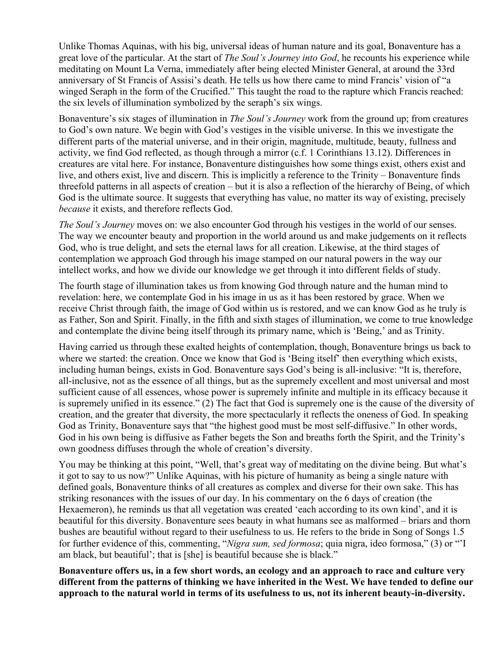Unlike Thomas Aquinas, with his big, universal ideas of human nature and its goal, Bonaventure has a great love of the particular. At the start of *The Soul's Journey into God*, he recounts his experience while meditating on Mount La Verna, immediately after being elected Minister General, at around the 33rd anniversary of St Francis of Assisi's death. He tells us how there came to mind Francis' vision of "a winged Seraph in the form of the Crucified." This taught the road to the rapture which Francis reached: the six levels of illumination symbolized by the seraph's six wings.

Bonaventure's six stages of illumination in *The Soul's Journey* work from the ground up; from creatures to God's own nature. We begin with God's vestiges in the visible universe. In this we investigate the different parts of the material universe, and in their origin, magnitude, multitude, beauty, fullness and activity, we find God reflected, as though through a mirror (c.f. 1 Corinthians 13.12). Differences in creatures are vital here. For instance, Bonaventure distinguishes how some things exist, others exist and live, and others exist, live and discern. This is implicitly a reference to the Trinity – Bonaventure finds threefold patterns in all aspects of creation – but it is also a reflection of the hierarchy of Being, of which God is the ultimate source. It suggests that everything has value, no matter its way of existing, precisely *because* it exists, and therefore reflects God.

*The Soul's Journey* moves on: we also encounter God through his vestiges in the world of our senses. The way we encounter beauty and proportion in the world around us and make judgements on it reflects God, who is true delight, and sets the eternal laws for all creation. Likewise, at the third stages of contemplation we approach God through his image stamped on our natural powers in the way our intellect works, and how we divide our knowledge we get through it into different fields of study.

The fourth stage of illumination takes us from knowing God through nature and the human mind to revelation: here, we contemplate God in his image in us as it has been restored by grace. When we receive Christ through faith, the image of God within us is restored, and we can know God as he truly is as Father, Son and Spirit. Finally, in the fifth and sixth stages of illumination, we come to true knowledge and contemplate the divine being itself through its primary name, which is 'Being,' and as Trinity.

Having carried us through these exalted heights of contemplation, though, Bonaventure brings us back to where we started: the creation. Once we know that God is 'Being itself' then everything which exists, including human beings, exists in God. Bonaventure says God's being is all-inclusive: "It is, therefore, all-inclusive, not as the essence of all things, but as the supremely excellent and most universal and most sufficient cause of all essences, whose power is supremely infinite and multiple in its efficacy because it is supremely unified in its essence." (2) The fact that God is supremely one is the cause of the diversity of creation, and the greater that diversity, the more spectacularly it reflects the oneness of God. In speaking God as Trinity, Bonaventure says that "the highest good must be most self-diffusive." In other words, God in his own being is diffusive as Father begets the Son and breaths forth the Spirit, and the Trinity's own goodness diffuses through the whole of creation's diversity.

You may be thinking at this point, "Well, that's great way of meditating on the divine being. But what's it got to say to us now?" Unlike Aquinas, with his picture of humanity as being a single nature with defined goals, Bonaventure thinks of all creatures as complex and diverse for their own sake. This has striking resonances with the issues of our day. In his commentary on the 6 days of creation (the Hexaemeron), he reminds us that all vegetation was created 'each according to its own kind', and it is beautiful for this diversity. Bonaventure sees beauty in what humans see as malformed – briars and thorn bushes are beautiful without regard to their usefulness to us. He refers to the bride in Song of Songs 1.5 for further evidence of this, commenting, "*Nigra sum, sed formosa*; quia nigra, ideo formosa," (3) or "'I am black, but beautiful'; that is [she] is beautiful because she is black."

**Bonaventure offers us, in a few short words, an ecology and an approach to race and culture very different from the patterns of thinking we have inherited in the West. We have tended to define our approach to the natural world in terms of its usefulness to us, not its inherent beauty-in-diversity.**